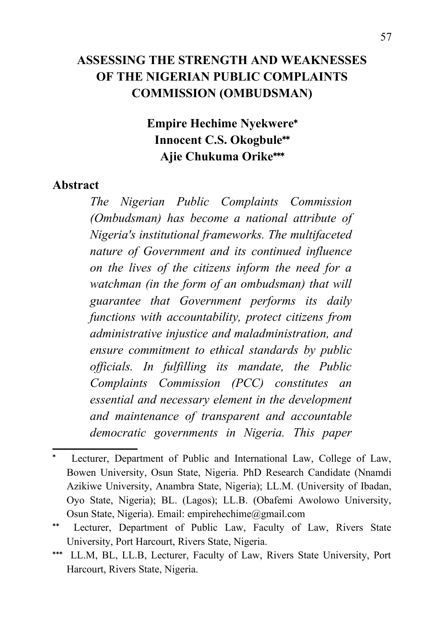### **ASSESSING THE STRENGTH AND WEAKNESSES OF THE NIGERIAN PUBLIC COMPLAINTS COMMISSION (OMBUDSMAN)**

# **Empire Hechime Nyekwere Innocent C.S. Okogbule Ajie Chukuma Orike**

#### **Abstract**

*The Nigerian Public Complaints Commission (Ombudsman) has become a national attribute of Nigeria's institutional frameworks. The multifaceted nature of Government and its continued influence on the lives of the citizens inform the need for a watchman (in the form of an ombudsman) that will guarantee that Government performs its daily functions with accountability, protect citizens from administrative injustice and maladministration, and ensure commitment to ethical standards by public officials. In fulfilling its mandate, the Public Complaints Commission (PCC) constitutes an essential and necessary element in the development and maintenance of transparent and accountable democratic governments in Nigeria. This paper*

<span id="page-0-0"></span>Lecturer, Department of Public and International Law, College of Law, Bowen University, Osun State, Nigeria. PhD Research Candidate (Nnamdi Azikiwe University, Anambra State, Nigeria); LL.M. (University of Ibadan, Oyo State, Nigeria); BL. (Lagos); LL.B. (Obafemi Awolowo University, Osun State, Nigeria). Email: [empirehechime@gmail.com](mailto:empirehechime@gmail.com)

<span id="page-0-1"></span>Lecturer, Department of Public Law, Faculty of Law, Rivers State University, Port Harcourt, Rivers State, Nigeria.

<span id="page-0-2"></span>LL.M, BL, LL.B, Lecturer, Faculty of Law, Rivers State University, Port Harcourt, Rivers State, Nigeria.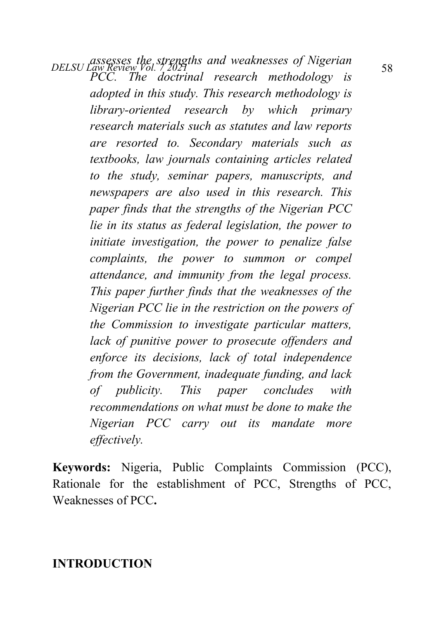*DELSU Law Review Vol. 7,2021*<br>*DELSU Law Review Vol. 7,2021 PCC. The doctrinal research methodology is adopted in this study. This research methodology is library-oriented research by which primary research materials such as statutes and law reports are resorted to. Secondary materials such as textbooks, law journals containing articles related to the study, seminar papers, manuscripts, and newspapers are also used in this research. This paper finds that the strengths of the Nigerian PCC lie in its status as federal legislation, the power to initiate investigation, the power to penalize false complaints, the power to summon or compel attendance, and immunity from the legal process. This paper further finds that the weaknesses of the Nigerian PCC lie in the restriction on the powers of the Commission to investigate particular matters, lack of punitive power to prosecute offenders and enforce its decisions, lack of total independence from the Government, inadequate funding, and lack of publicity. This paper concludes with recommendations on what must be done to make the Nigerian PCC carry out its mandate more effectively.*

**Keywords:** Nigeria, Public Complaints Commission (PCC), Rationale for the establishment of PCC, Strengths of PCC, Weaknesses of PCC**.**

**INTRODUCTION**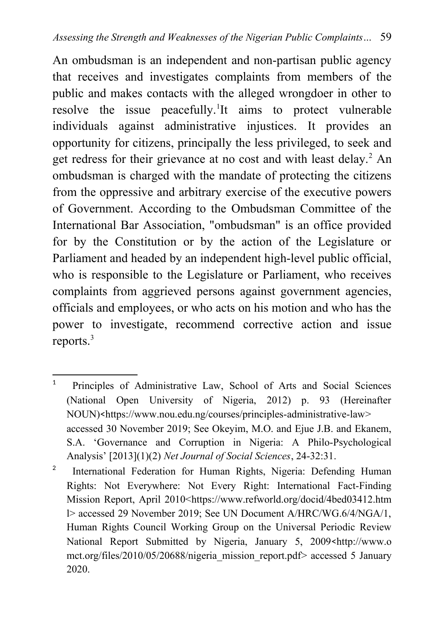An ombudsman is an independent and non-partisan public agency that receives and investigates complaints from members of the public and makes contacts with the alleged wrongdoer in other to resolve the issue peacefully.<sup>[1](#page-2-0)</sup>It aims to protect vulnerable individuals against administrative injustices. It provides an opportunity for citizens, principally the less privileged, to seek and get redress for their grievance at no cost and with least delay.<sup>[2](#page-2-1)</sup> An ombudsman is charged with the mandate of protecting the citizens from the oppressive and arbitrary exercise of the executive powers of Government. According to the Ombudsman Committee of the International Bar Association, "ombudsman" is an office provided for by the Constitution or by the action of the Legislature or Parliament and headed by an independent high-level public official, who is responsible to the Legislature or Parliament, who receives complaints from aggrieved persons against government agencies, officials and employees, or who acts on his motion and who has the power to investigate, recommend corrective action and issue reports.<sup>3</sup>

<span id="page-2-1"></span>2 International Federation for Human Rights, Nigeria: Defending Human Rights: Not Everywhere: Not Every Right: International Fact-Finding Mission Report, April 2010<[https://www.refworld.org/docid/4bed03412.htm](https://www.refworld.org/docid/4bed03412.htm%20l) [l>](https://www.refworld.org/docid/4bed03412.htm%20l) accessed 29 November 2019; See UN Document A/HRC/WG.6/4/NGA/1, Human Rights Council Working Group on the Universal Periodic Review National Report Submitted by Nigeria, January 5, 2009 <http://www.o mct.org/files/2010/05/20688/nigeria\_mission\_report.pdf> accessed 5 January 2020.

<span id="page-2-0"></span><sup>1</sup> Principles of Administrative Law, School of Arts and Social Sciences (National Open University of Nigeria, 2012) p. 93 (Hereinafter NOUN)<<https://www.nou.edu.ng/courses/principles-administrative-law>> accessed 30 November 2019; See Okeyim, M.O. and Ejue J.B. and Ekanem, S.A. 'Governance and Corruption in Nigeria: A Philo-Psychological Analysis' [2013](1)(2) *Net Journal of Social Sciences*, 24-32:31.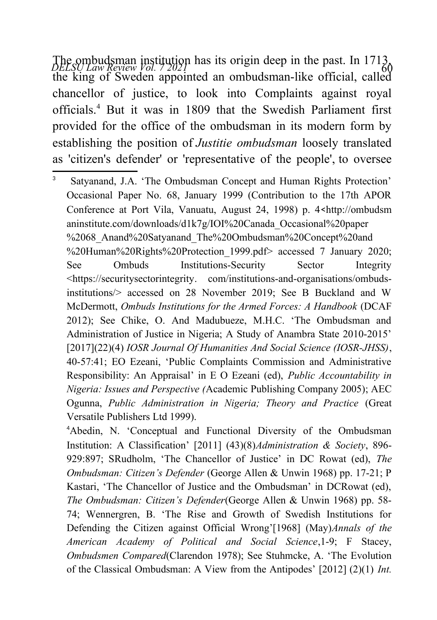The ombudsman institution has its origin deep in the past. In 1713,<br>*DELSU Law Review Vol. 7 2021* the king of Sweden appointed an ombudsman-like official, called chancellor of justice, to look into Complaints against royal officials.[4](#page-3-0) But it was in 1809 that the Swedish Parliament first provided for the office of the ombudsman in its modern form by establishing the position of *Justitie ombudsman* loosely translated as 'citizen's defender' or 'representative of the people', to oversee

3

 Satyanand, J.A. 'The Ombudsman Concept and Human Rights Protection' Occasional Paper No. 68, January 1999 (Contribution to the 17th APOR Conference at Port Vila, Vanuatu, August 24, 1998) p. 4<http://ombudsm aninstitute.com/downloads/d1k7g/IOI%20Canada\_Occasional%20paper %2068 Anand%20Satyanand The%20Ombudsman%20Concept%20and %20Human%20Rights%20Protection\_1999.pdf> accessed 7 January 2020; See Ombuds Institutions-Security Sector Integrity <[https://securitysectorintegrity.](https://securitysectorintegrity/) com/institutions-and-organisations/ombudsinstitutions/> accessed on 28 November 2019; See B Buckland and W McDermott, *[Ombuds Institutions for the Armed Forces: A Handbook](https://securitysectorintegrity.com/publication/ombuds-institutions-armed-forces-handbook/)* (DCAF 2012); See Chike, O. And Madubueze, M.H.C. 'The Ombudsman and Administration of Justice in Nigeria; A Study of Anambra State 2010-2015' [2017](22)(4) *IOSR Journal Of Humanities And Social Science (IOSR-JHSS)*, 40-57:41; EO Ezeani, 'Public Complaints Commission and Administrative Responsibility: An Appraisal' in E O Ezeani (ed), *Public Accountability in Nigeria: Issues and Perspective (*Academic Publishing Company 2005); AEC Ogunna, *Public Administration in Nigeria; Theory and Practice* (Great Versatile Publishers Ltd 1999).

<span id="page-3-0"></span><sup>4</sup>Abedin, N. 'Conceptual and Functional Diversity of the Ombudsman Institution: A Classification' [2011] (43)(8)*Administration & Society*, 896- 929:897; SRudholm, 'The Chancellor of Justice' in DC Rowat (ed), *The Ombudsman: Citizen's Defender* (George Allen & Unwin 1968) pp. 17-21; P Kastari, 'The Chancellor of Justice and the Ombudsman' in DCRowat (ed), *The Ombudsman: Citizen's Defender*(George Allen & Unwin 1968) pp. 58- 74; Wennergren, B. 'The Rise and Growth of Swedish Institutions for Defending the Citizen against Official Wrong'[1968] (May)*Annals of the American Academy of Political and Social Science*,1-9; F Stacey, *Ombudsmen Compared*(Clarendon 1978); See Stuhmcke, A. 'The Evolution of the Classical Ombudsman: A View from the Antipodes' [2012] (2)(1) *Int.*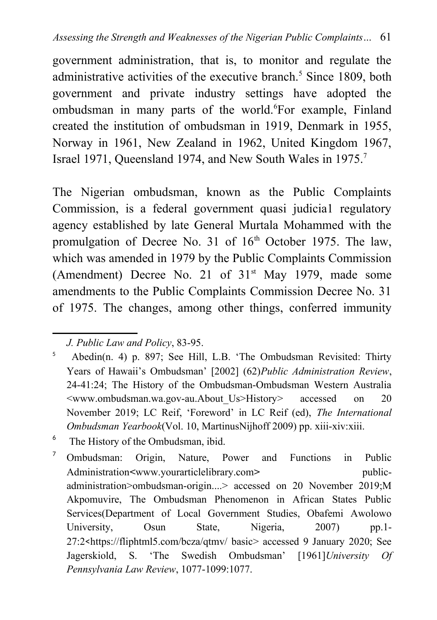government administration, that is, to monitor and regulate the administrative activities of the executive branch.<sup>[5](#page-4-0)</sup> Since 1809, both government and private industry settings have adopted the ombudsman in many parts of the world.<sup>[6](#page-4-1)</sup>For example, Finland created the institution of ombudsman in 1919, Denmark in 1955, Norway in 1961, New Zealand in 1962, United Kingdom 1967, Israel 1971, Queensland 1974, and New South Wales in 1975.[7](#page-4-2)

The Nigerian ombudsman, known as the Public Complaints Commission, is a federal government quasi judicia1 regulatory agency established by late General Murtala Mohammed with the promulgation of Decree No. 31 of  $16<sup>th</sup>$  October 1975. The law, which was amended in 1979 by the Public Complaints Commission (Amendment) Decree No. 21 of  $31<sup>st</sup>$  May 1979, made some amendments to the Public Complaints Commission Decree No. 31 of 1975. The changes, among other things, conferred immunity

<span id="page-4-0"></span>*J. Public Law and Policy*, 83-95.

<sup>5</sup> Abedin(n. 4) p. 897; See Hill, L.B. 'The Ombudsman Revisited: Thirty Years of Hawaii's Ombudsman' [2002] (62)*Public Administration Review*, 24-41:24; The History of the Ombudsman-Ombudsman Western Australia <www.ombudsman.wa.gov-au.About\_Us>History> accessed on 20 November 2019; LC Reif, 'Foreword' in LC Reif (ed), *The International Ombudsman Yearbook*(Vol. 10, MartinusNijhoff 2009) pp. xiii-xiv:xiii.

<span id="page-4-1"></span><sup>&</sup>lt;sup>6</sup> The History of the Ombudsman, ibid.

<span id="page-4-2"></span><sup>7</sup> Ombudsman: Origin, Nature, Power and Functions in Public Administration**<**[www.yourarticlelibrary.com](http://www.yourarticlelibrary.com/)**>** publicadministration>ombudsman-origin....> accessed on 20 November 2019;M Akpomuvire, The Ombudsman Phenomenon in African States Public Services(Department of Local Government Studies, Obafemi Awolowo University, Osun State, Nigeria, 2007) pp.1-27:2<[https://fliphtml5.com/bcza/qtmv/ basic](https://fliphtml5.com/bcza/qtmv/%20basic)> accessed 9 January 2020; See Jagerskiold, S. 'The Swedish Ombudsman' [1961]*University Of Pennsylvania Law Review*, 1077-1099:1077.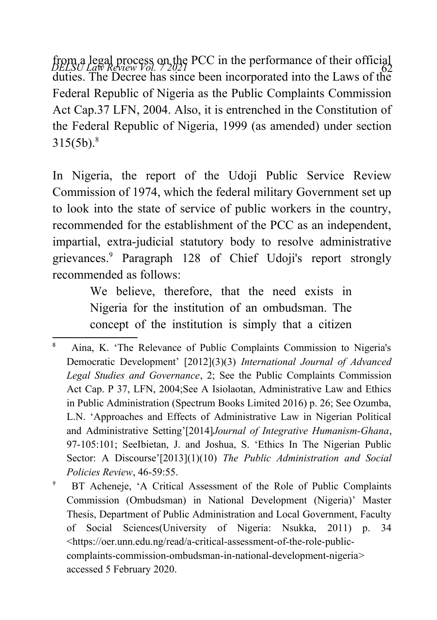from a legal process on the PCC in the performance of their official<br>*DELSU Law Review Vol. 7 2021* duties. The Decree has since been incorporated into the Laws of the Federal Republic of Nigeria as the Public Complaints Commission Act Cap.37 LFN, 2004. Also, it is entrenched in the Constitution of the Federal Republic of Nigeria, 1999 (as amended) under section  $315(5b).$ <sup>[8](#page-5-0)</sup>

In Nigeria, the report of the Udoji Public Service Review Commission of 1974, which the federal military Government set up to look into the state of service of public workers in the country, recommended for the establishment of the PCC as an independent, impartial, extra-judicial statutory body to resolve administrative grievances.[9](#page-5-1) Paragraph 128 of Chief Udoji's report strongly recommended as follows:

> We believe, therefore, that the need exists in Nigeria for the institution of an ombudsman. The concept of the institution is simply that a citizen

<span id="page-5-1"></span>9 BT Acheneje, 'A Critical Assessment of the Role of Public Complaints Commission (Ombudsman) in National Development (Nigeria)' Master Thesis, Department of Public Administration and Local Government, Faculty of Social Sciences(University of Nigeria: Nsukka, 2011) p. 34 <[https://oer.unn.edu.ng/read/a-critical-assessment-of-the-role-public](https://oer.unn.edu.ng/read/a-critical-assessment-of-the-role-public-complaints-commission-ombudsman-in-national-development-nigeria)[complaints-commission-ombudsman-in-national-development-nigeria](https://oer.unn.edu.ng/read/a-critical-assessment-of-the-role-public-complaints-commission-ombudsman-in-national-development-nigeria)> accessed 5 February 2020.

<span id="page-5-0"></span><sup>8</sup> Aina, K. 'The Relevance of Public Complaints Commission to Nigeria's Democratic Development' [2012](3)(3) *International Journal of Advanced Legal Studies and Governance*, 2; See the Public Complaints Commission Act Cap. P 37, LFN, 2004;See A Isiolaotan, Administrative Law and Ethics in Public Administration (Spectrum Books Limited 2016) p. 26; See Ozumba, L.N. 'Approaches and Effects of Administrative Law in Nigerian Political and Administrative Setting'[2014]*Journal of Integrative Humanism-Ghana*, 97-105:101; SeeIbietan, J. and Joshua, S. 'Ethics In The Nigerian Public Sector: A Discourse'[2013](1)(10) *The Public Administration and Social Policies Review*, 46-59:55.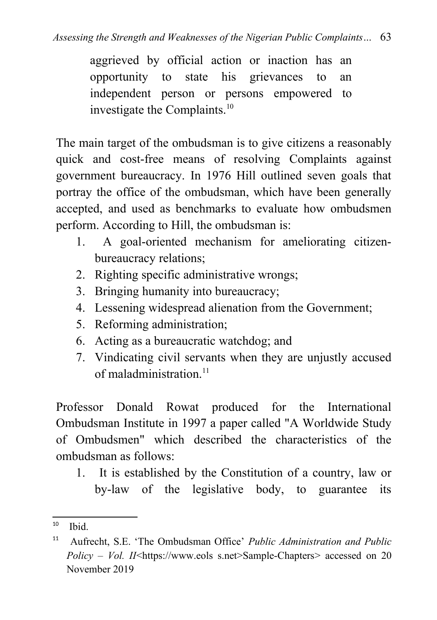aggrieved by official action or inaction has an opportunity to state his grievances to an independent person or persons empowered to investigate the Complaints.[10](#page-6-0)

The main target of the ombudsman is to give citizens a reasonably quick and cost-free means of resolving Complaints against government bureaucracy. In 1976 Hill outlined seven goals that portray the office of the ombudsman, which have been generally accepted, and used as benchmarks to evaluate how ombudsmen perform. According to Hill, the ombudsman is:

- 1. A goal-oriented mechanism for ameliorating citizenbureaucracy relations;
- 2. Righting specific administrative wrongs;
- 3. Bringing humanity into bureaucracy;
- 4. Lessening widespread alienation from the Government;
- 5. Reforming administration;
- 6. Acting as a bureaucratic watchdog; and
- 7. Vindicating civil servants when they are unjustly accused of maladministration $11$

Professor Donald Rowat produced for the International Ombudsman Institute in 1997 a paper called "A Worldwide Study of Ombudsmen" which described the characteristics of the ombudsman as follows:

1. It is established by the Constitution of a country, law or by-law of the legislative body, to guarantee its

<span id="page-6-0"></span> $10$  Ibid.

<span id="page-6-1"></span><sup>11</sup> Aufrecht, S.E. 'The Ombudsman Office' *Public Administration and Public Policy – Vol. II*<https://www.eols s.net>Sample-Chapters> accessed on 20 November 2019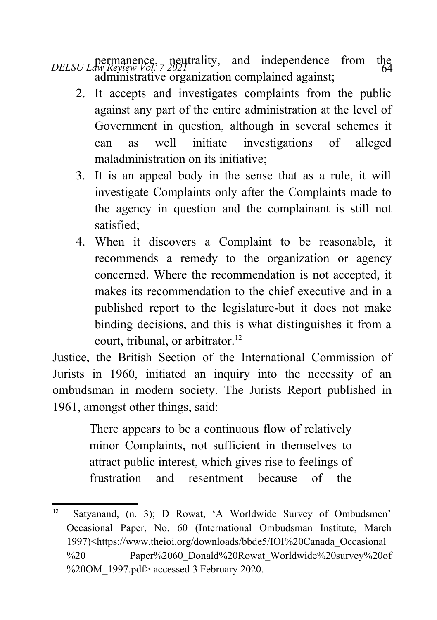*DELSU Law Review Vol.* 7 2021<br>  $\frac{1}{64}$ administrative organization complained against;

- 2. It accepts and investigates complaints from the public against any part of the entire administration at the level of Government in question, although in several schemes it can as well initiate investigations of alleged maladministration on its initiative;
- 3. It is an appeal body in the sense that as a rule, it will investigate Complaints only after the Complaints made to the agency in question and the complainant is still not satisfied;
- 4. When it discovers a Complaint to be reasonable, it recommends a remedy to the organization or agency concerned. Where the recommendation is not accepted, it makes its recommendation to the chief executive and in a published report to the legislature-but it does not make binding decisions, and this is what distinguishes it from a court, tribunal, or arbitrator.<sup>[12](#page-7-0)</sup>

Justice, the British Section of the International Commission of Jurists in 1960, initiated an inquiry into the necessity of an ombudsman in modern society. The Jurists Report published in 1961, amongst other things, said:

> There appears to be a continuous flow of relatively minor Complaints, not sufficient in themselves to attract public interest, which gives rise to feelings of frustration and resentment because of the

<span id="page-7-0"></span><sup>12</sup> Satyanand, (n. 3); D Rowat, 'A Worldwide Survey of Ombudsmen' Occasional Paper, No. 60 (International Ombudsman Institute, March 1997)<[https://www.theioi.org/downloads/bbde5/IOI%20Canada\\_Occasional](https://www.theioi.org/downloads/bbde5/IOI%20Canada_Occasional%20%20Paper%2060_Donald%20Rowat_Worldwide%20survey%20of%20OM_1997.pdf) [%20 Paper%2060\\_Donald%20Rowat\\_Worldwide%20survey%20of](https://www.theioi.org/downloads/bbde5/IOI%20Canada_Occasional%20%20Paper%2060_Donald%20Rowat_Worldwide%20survey%20of%20OM_1997.pdf) %20OM  $1997.$ pdf> accessed 3 February 2020.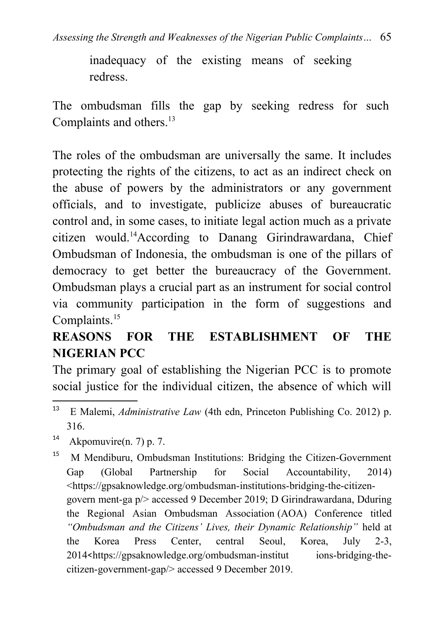inadequacy of the existing means of seeking redress.

The ombudsman fills the gap by seeking redress for such Complaints and others.<sup>[13](#page-8-0)</sup>

The roles of the ombudsman are universally the same. It includes protecting the rights of the citizens, to act as an indirect check on the abuse of powers by the administrators or any government officials, and to investigate, publicize abuses of bureaucratic control and, in some cases, to initiate legal action much as a private citizen would.[14](#page-8-1)According to Danang Girindrawardana, Chief Ombudsman of Indonesia, the ombudsman is one of the pillars of democracy to get better the bureaucracy of the Government. Ombudsman plays a crucial part as an instrument for social control via community participation in the form of suggestions and Complaints.<sup>[15](#page-8-2)</sup>

# **REASONS FOR THE ESTABLISHMENT OF THE NIGERIAN PCC**

The primary goal of establishing the Nigerian PCC is to promote social justice for the individual citizen, the absence of which will

<span id="page-8-1"></span><sup>14</sup> Akpomuvire(n. 7) p. 7.

<span id="page-8-0"></span><sup>13</sup> E Malemi, *Administrative Law* (4th edn, Princeton Publishing Co. 2012) p. 316.

<span id="page-8-2"></span><sup>15</sup> M Mendiburu, Ombudsman Institutions: Bridging the Citizen-Government Gap (Global Partnership for Social Accountability, 2014) <[https://gpsaknowledge.org/ombudsman-institutions-bridging-the-citizen](https://gpsaknowledge.org/ombudsman-institutions-bridging-the-citizen-govern%20ment-ga%20p/)[govern ment-ga p/>](https://gpsaknowledge.org/ombudsman-institutions-bridging-the-citizen-govern%20ment-ga%20p/) accessed 9 December 2019; D Girindrawardana, Dduring the Regional Asian Ombudsman Association (AOA) Conference titled *"Ombudsman and the Citizens' Lives, their Dynamic Relationship"* held at the Korea Press Center, central Seoul, Korea, July 2-3, 2014<[https://gpsaknowledge.org/ombudsman-institut ions-bridging-the](https://gpsaknowledge.org/ombudsman-institut%20ions-bridging-the-citizen-government-gap/)[citizen-government-gap/](https://gpsaknowledge.org/ombudsman-institut%20ions-bridging-the-citizen-government-gap/)> accessed 9 December 2019.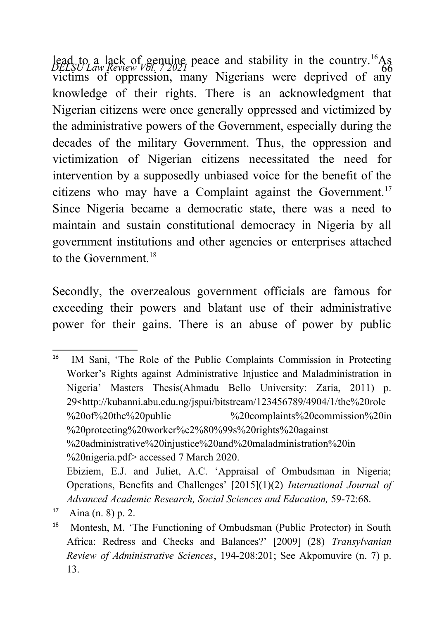lead to a lack of genuine peace and stability in the country.<sup>[16](#page-9-0)</sup>As *DELSU Law Review Vol.* 72021 victims of oppression, many Nigerians were deprived of any knowledge of their rights. There is an acknowledgment that Nigerian citizens were once generally oppressed and victimized by the administrative powers of the Government, especially during the decades of the military Government. Thus, the oppression and victimization of Nigerian citizens necessitated the need for intervention by a supposedly unbiased voice for the benefit of the citizens who may have a Complaint against the Government.<sup>[17](#page-9-1)</sup> Since Nigeria became a democratic state, there was a need to maintain and sustain constitutional democracy in Nigeria by all government institutions and other agencies or enterprises attached to the Government  $18$ 

Secondly, the overzealous government officials are famous for exceeding their powers and blatant use of their administrative power for their gains. There is an abuse of power by public

<span id="page-9-0"></span><sup>&</sup>lt;sup>16</sup> IM Sani, 'The Role of the Public Complaints Commission in Protecting Worker's Rights against Administrative Injustice and Maladministration in Nigeria' Masters Thesis(Ahmadu Bello University: Zaria, 2011) p. 29<[http://kubanni.abu.edu.ng/jspui/bitstream/123456789/4904/1/the%20role](http://kubanni.abu.edu.ng/jspui/bitstream/123456789/4904/1/the%20role%20of%20the%20public%20%20complaints%20commission%20in%20protecting%20worker%E2%80%99s%20rights%20against%20administrative%20injustice%20and%20maladministration%20in%20nigeria.pdf) [%20of%20the%20public %20complaints%20commission%20in](http://kubanni.abu.edu.ng/jspui/bitstream/123456789/4904/1/the%20role%20of%20the%20public%20%20complaints%20commission%20in%20protecting%20worker%E2%80%99s%20rights%20against%20administrative%20injustice%20and%20maladministration%20in%20nigeria.pdf) %20protecting%20worker%e2%80%99s%20rights%20against %20administrative%20injustice%20and%20maladministration%20in [%20nigeria.pdf](http://kubanni.abu.edu.ng/jspui/bitstream/123456789/4904/1/the%20role%20of%20the%20public%20%20complaints%20commission%20in%20protecting%20worker%E2%80%99s%20rights%20against%20administrative%20injustice%20and%20maladministration%20in%20nigeria.pdf)> accessed 7 March 2020. Ebiziem, E.J. and Juliet, A.C. 'Appraisal of Ombudsman in Nigeria; Operations, Benefits and Challenges' [2015](1)(2) *International Journal of Advanced Academic Research, Social Sciences and Education,* 59-72:68.

<span id="page-9-1"></span> $17$  Aina (n. 8) p. 2.

<span id="page-9-2"></span><sup>&</sup>lt;sup>18</sup> Montesh, M. 'The Functioning of Ombudsman (Public Protector) in South Africa: Redress and Checks and Balances?' [2009] (28) *Transylvanian Review of Administrative Sciences*, 194-208:201; See Akpomuvire (n. 7) p. 13.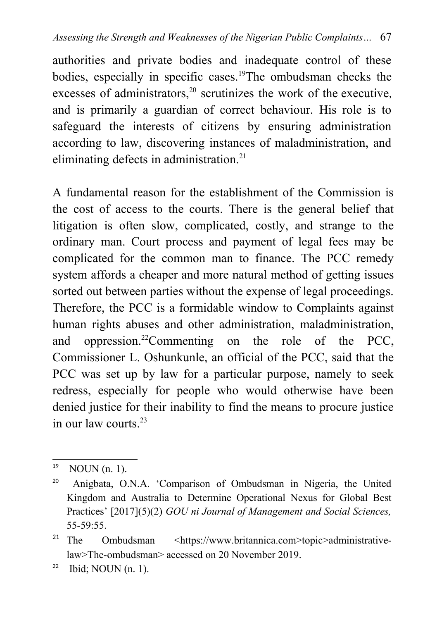authorities and private bodies and inadequate control of these bodies, especially in specific cases.[19](#page-10-0)The ombudsman checks the excesses of administrators, $20$  scrutinizes the work of the [executive](https://www.britannica.com/topic/executive-government), and is primarily a guardian of correct behaviour. His role is to safeguard the interests of citizens by ensuring administration according to law, discovering instances of maladministration, and eliminating defects in administration.<sup>[21](#page-10-2)</sup>

A fundamental reason for the establishment of the Commission is the cost of access to the courts. There is the general belief that litigation is often slow, complicated, costly, and strange to the ordinary man. Court process and payment of legal fees may be complicated for the common man to finance. The PCC remedy system affords a cheaper and more natural method of getting issues sorted out between parties without the expense of legal proceedings. Therefore, the PCC is a formidable window to Complaints against human rights abuses and other administration, maladministration, and oppression.[22](#page-10-3)Commenting on the role of the PCC, Commissioner L. Oshunkunle, an official of the PCC, said that the PCC was set up by law for a particular purpose, namely to seek redress, especially for people who would otherwise have been denied justice for their inability to find the means to procure justice in our law courts. $23$ 

<span id="page-10-0"></span> $19$  NOUN (n. 1).

<span id="page-10-1"></span><sup>20</sup> Anigbata, O.N.A. 'Comparison of Ombudsman in Nigeria, the United Kingdom and Australia to Determine Operational Nexus for Global Best Practices' [2017](5)(2) *GOU ni Journal of Management and Social Sciences,* 55-59:55.

<span id="page-10-2"></span><sup>21</sup> The Ombudsman <https://www.britannica.com>topic>administrativelaw>The-ombudsman> accessed on 20 November 2019.

<span id="page-10-3"></span> $22$  Ibid; NOUN (n. 1).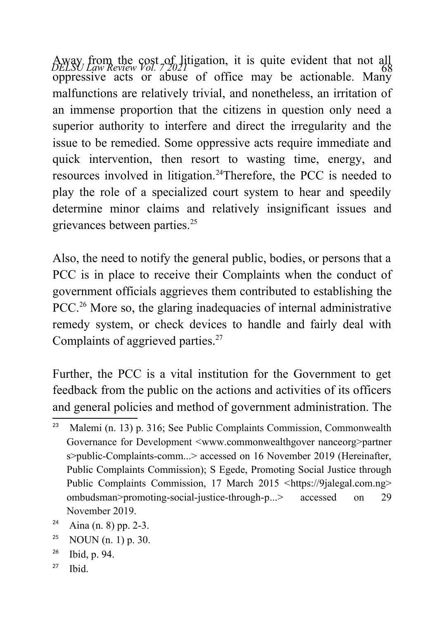Away from the cost of litigation, it is quite evident that not all *bELSU Law Review Vol.* 7,2021 oppressive acts or abuse of office may be actionable. Many malfunctions are relatively trivial, and nonetheless, an irritation of an immense proportion that the citizens in question only need a superior authority to interfere and direct the irregularity and the issue to be remedied. Some oppressive acts require immediate and quick intervention, then resort to wasting time, energy, and resources involved in litigation.<sup>[24](#page-11-0)</sup>Therefore, the PCC is needed to play the role of a specialized court system to hear and speedily determine minor claims and relatively insignificant issues and grievances between parties.<sup>[25](#page-11-1)</sup>

Also, the need to notify the general public, bodies, or persons that a PCC is in place to receive their Complaints when the conduct of government officials aggrieves them contributed to establishing the PCC.<sup>[26](#page-11-2)</sup> More so, the glaring inadequacies of internal administrative remedy system, or check devices to handle and fairly deal with Complaints of aggrieved parties.<sup>[27](#page-11-3)</sup>

Further, the PCC is a vital institution for the Government to get feedback from the public on the actions and activities of its officers and general policies and method of government administration. The

- <span id="page-11-1"></span><sup>25</sup> NOUN  $(n, 1)$  p. 30.
- <span id="page-11-2"></span><sup>26</sup> Ibid, p. 94.
- <span id="page-11-3"></span> $27$  Ibid.

<sup>&</sup>lt;sup>23</sup> Malemi (n. 13) p. 316; See Public Complaints Commission, Commonwealth Governance for Development <www.commonwealthgover nanceorg>partner s>public-Complaints-comm...> accessed on 16 November 2019 (Hereinafter, Public Complaints Commission); S Egede, Promoting Social Justice through Public Complaints Commission, 17 March 2015 <https://9jalegal.com.ng> ombudsman>promoting-social-justice-through-p...> accessed on 29 November 2019.

<span id="page-11-0"></span> $24$  Aina (n. 8) pp. 2-3.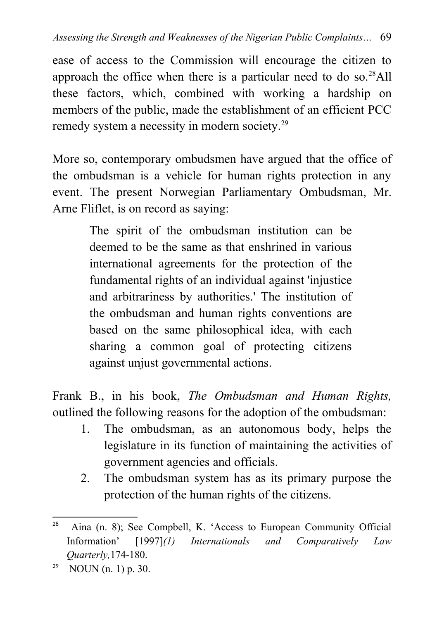ease of access to the Commission will encourage the citizen to approach the office when there is a particular need to do so. $^{28}$  $^{28}$  $^{28}$ All these factors, which, combined with working a hardship on members of the public, made the establishment of an efficient PCC remedy system a necessity in modern society.[29](#page-12-1)

More so, contemporary ombudsmen have argued that the office of the ombudsman is a vehicle for human rights protection in any event. The present Norwegian Parliamentary Ombudsman, Mr. Arne Fliflet, is on record as saying:

> The spirit of the ombudsman institution can be deemed to be the same as that enshrined in various international agreements for the protection of the fundamental rights of an individual against 'injustice and arbitrariness by authorities.' The institution of the ombudsman and human rights conventions are based on the same philosophical idea, with each sharing a common goal of protecting citizens against unjust governmental actions.

Frank B., in his book, *The Ombudsman and Human Rights,* outlined the following reasons for the adoption of the ombudsman:

- 1. The ombudsman, as an autonomous body, helps the legislature in its function of maintaining the activities of government agencies and officials.
- 2. The ombudsman system has as its primary purpose the protection of the human rights of the citizens.

<span id="page-12-0"></span><sup>28</sup> Aina (n. 8); See Compbell, K. 'Access to European Community Official Information' [1997]*(1) Internationals and Comparatively Law Quarterly,*174-180.

<span id="page-12-1"></span><sup>&</sup>lt;sup>29</sup> NOUN (n. 1) p. 30.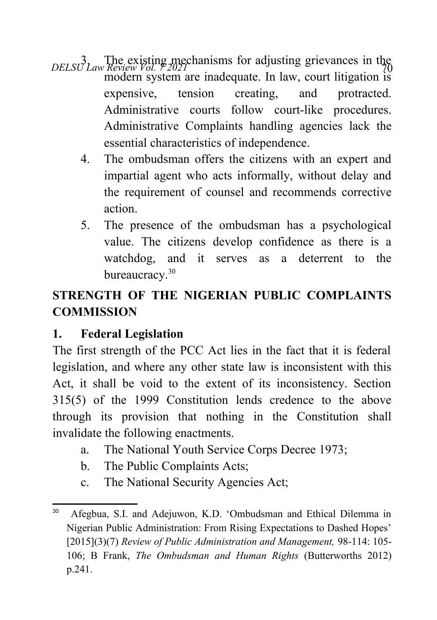- *DELSU Law Review Vol. 7* 2021 modern system are inadequate. In law, court litigation is expensive, tension creating, and protracted. Administrative courts follow court-like procedures. Administrative Complaints handling agencies lack the essential characteristics of independence.
	- 4. The ombudsman offers the citizens with an expert and impartial agent who acts informally, without delay and the requirement of counsel and recommends corrective action.
	- 5. The presence of the ombudsman has a psychological value. The citizens develop confidence as there is a watchdog, and it serves as a deterrent to the bureaucracy.<sup>[30](#page-13-0)</sup>

# **STRENGTH OF THE NIGERIAN PUBLIC COMPLAINTS COMMISSION**

# **1. Federal Legislation**

The first strength of the PCC Act lies in the fact that it is federal legislation, and where any other state law is inconsistent with this Act, it shall be void to the extent of its inconsistency. Section 315(5) of the 1999 Constitution lends credence to the above through its provision that nothing in the Constitution shall invalidate the following enactments.

- a. The National Youth Service Corps Decree 1973;
- b. The Public Complaints Acts;
- c. The National Security Agencies Act;

<span id="page-13-0"></span><sup>30</sup> Afegbua, S.I. and Adejuwon, K.D. 'Ombudsman and Ethical Dilemma in Nigerian Public Administration: From Rising Expectations to Dashed Hopes' [2015](3)(7) *Review of Public Administration and Management,* 98-114: 105- 106; B Frank, *The Ombudsman and Human Rights* (Butterworths 2012) p.241.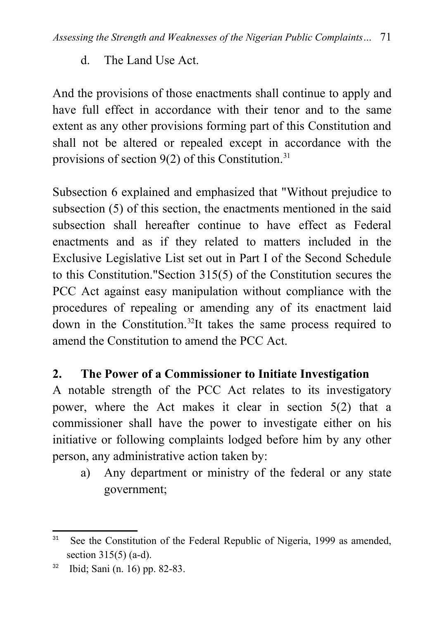d. The Land Use Act.

And the provisions of those enactments shall continue to apply and have full effect in accordance with their tenor and to the same extent as any other provisions forming part of this Constitution and shall not be altered or repealed except in accordance with the provisions of section  $9(2)$  of this Constitution.<sup>[31](#page-14-0)</sup>

Subsection 6 explained and emphasized that "Without prejudice to subsection (5) of this section, the enactments mentioned in the said subsection shall hereafter continue to have effect as Federal enactments and as if they related to matters included in the Exclusive Legislative List set out in Part I of the Second Schedule to this Constitution."Section 315(5) of the Constitution secures the PCC Act against easy manipulation without compliance with the procedures of repealing or amending any of its enactment laid down in the Constitution.[32](#page-14-1)It takes the same process required to amend the Constitution to amend the PCC Act.

### **2. The Power of a Commissioner to Initiate Investigation**

A notable strength of the PCC Act relates to its investigatory power, where the Act makes it clear in section 5(2) that a commissioner shall have the power to investigate either on his initiative or following complaints lodged before him by any other person, any administrative action taken by:

a) Any department or ministry of the federal or any state government;

<span id="page-14-0"></span><sup>&</sup>lt;sup>31</sup> See the Constitution of the Federal Republic of Nigeria, 1999 as amended, section 315(5) (a-d).

<span id="page-14-1"></span><sup>32</sup> Ibid; Sani (n. 16) pp. 82-83.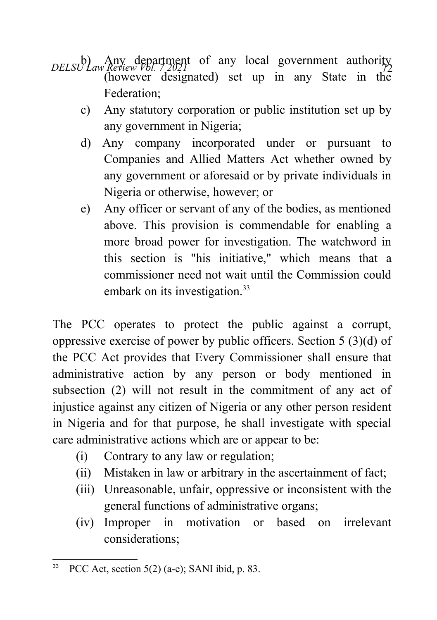- *DELSU Law Review Vol. 72021* of any local government authority (however designated) set up in any State in the Federation;
	- c) Any statutory corporation or public institution set up by any government in Nigeria;
	- d) Any company incorporated under or pursuant to Companies and Allied Matters Act whether owned by any government or aforesaid or by private individuals in Nigeria or otherwise, however; or
	- e) Any officer or servant of any of the bodies, as mentioned above. This provision is commendable for enabling a more broad power for investigation. The watchword in this section is "his initiative," which means that a commissioner need not wait until the Commission could embark on its investigation.<sup>[33](#page-15-0)</sup>

The PCC operates to protect the public against a corrupt, oppressive exercise of power by public officers. Section 5 (3)(d) of the PCC Act provides that Every Commissioner shall ensure that administrative action by any person or body mentioned in subsection (2) will not result in the commitment of any act of injustice against any citizen of Nigeria or any other person resident in Nigeria and for that purpose, he shall investigate with special care administrative actions which are or appear to be:

- (i) Contrary to any law or regulation;
- (ii) Mistaken in law or arbitrary in the ascertainment of fact;
- (iii) Unreasonable, unfair, oppressive or inconsistent with the general functions of administrative organs;
- (iv) Improper in motivation or based on irrelevant considerations;

<span id="page-15-0"></span> ${}^{33}$  PCC Act, section 5(2) (a-e); SANI ibid, p. 83.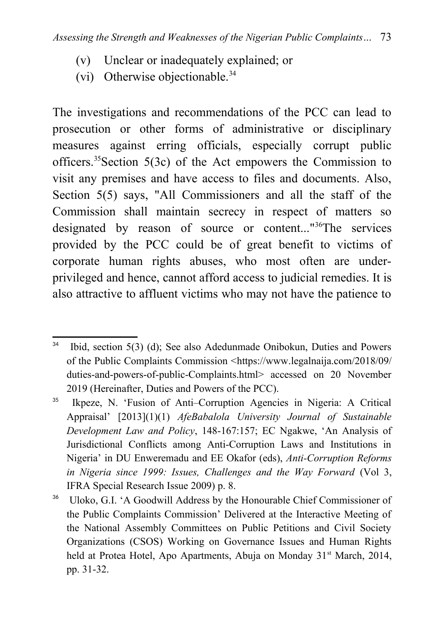- (v) Unclear or inadequately explained; or
- (vi) Otherwise objectionable.<sup>[34](#page-16-0)</sup>

The investigations and recommendations of the PCC can lead to prosecution or other forms of administrative or disciplinary measures against erring officials, especially corrupt public officers.[35](#page-16-1)Section 5(3c) of the Act empowers the Commission to visit any premises and have access to files and documents. Also, Section 5(5) says, "All Commissioners and all the staff of the Commission shall maintain secrecy in respect of matters so designated by reason of source or content..."[36](#page-16-2)The services provided by the PCC could be of great benefit to victims of corporate human rights abuses, who most often are underprivileged and hence, cannot afford access to judicial remedies. It is also attractive to affluent victims who may not have the patience to

<span id="page-16-0"></span> $34$  Ibid, section 5(3) (d); See also Adedunmade Onibokun, Duties and Powers of the Public Complaints Commission <[https://www](https://www/).legalnaija.com/2018/09/ duties-and-powers-of-public-Complaints.html> accessed on 20 November 2019 (Hereinafter, Duties and Powers of the PCC).

<span id="page-16-1"></span><sup>35</sup> Ikpeze, N. 'Fusion of Anti–Corruption Agencies in Nigeria: A Critical Appraisal' [2013](1)(1) *AfeBabalola University Journal of Sustainable Development Law and Policy*, 148-167:157; EC Ngakwe, 'An Analysis of Jurisdictional Conflicts among Anti-Corruption Laws and Institutions in Nigeria' in DU Enweremadu and EE Okafor (eds), *Anti-Corruption Reforms in Nigeria since 1999: Issues, Challenges and the Way Forward* (Vol 3, IFRA Special Research Issue 2009) p. 8.

<span id="page-16-2"></span><sup>&</sup>lt;sup>36</sup> Uloko, G.I. 'A Goodwill Address by the Honourable Chief Commissioner of the Public Complaints Commission' Delivered at the Interactive Meeting of the National Assembly Committees on Public Petitions and Civil Society Organizations (CSOS) Working on Governance Issues and Human Rights held at Protea Hotel, Apo Apartments, Abuja on Monday 31<sup>st</sup> March, 2014, pp. 31-32.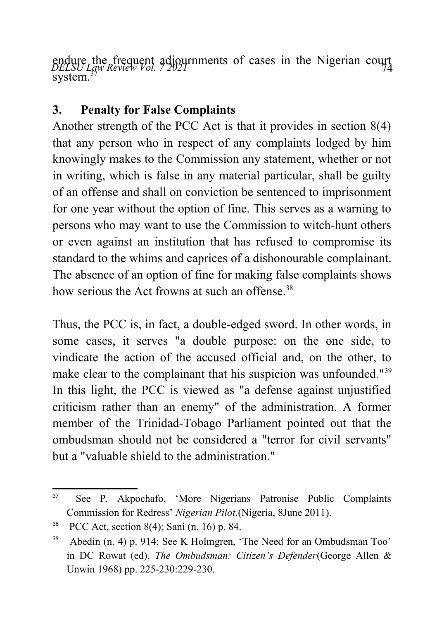endure the frequent adjournments of cases in the Nigerian court<br>*DELSU Law Review Vol. 7 2021*  $system.<sup>37</sup>$  $system.<sup>37</sup>$  $system.<sup>37</sup>$ 

# **3. Penalty for False Complaints**

Another strength of the PCC Act is that it provides in section 8(4) that any person who in respect of any complaints lodged by him knowingly makes to the Commission any statement, whether or not in writing, which is false in any material particular, shall be guilty of an offense and shall on conviction be sentenced to imprisonment for one year without the option of fine. This serves as a warning to persons who may want to use the Commission to witch-hunt others or even against an institution that has refused to compromise its standard to the whims and caprices of a dishonourable complainant. The absence of an option of fine for making false complaints shows how serious the Act frowns at such an offense  $38$ 

Thus, the PCC is, in fact, a double-edged sword. In other words, in some cases, it serves "a double purpose: on the one side, to vindicate the action of the accused official and, on the other, to make clear to the complainant that his suspicion was unfounded."<sup>[39](#page-17-2)</sup> In this light, the PCC is viewed as "a defense against unjustified criticism rather than an enemy" of the administration. A former member of the Trinidad-Tobago Parliament pointed out that the ombudsman should not be considered a "terror for civil servants" but a "valuable shield to the administration."

<span id="page-17-0"></span><sup>37</sup> See P. Akpochafo, 'More Nigerians Patronise Public Complaints Commission for Redress' *Nigerian Pilot,*(Nigeria, 8June 2011).

<span id="page-17-1"></span><sup>38</sup> PCC Act, section 8(4); Sani (n. 16) p. 84.

<span id="page-17-2"></span><sup>&</sup>lt;sup>39</sup> Abedin (n. 4) p. 914; See K Holmgren, 'The Need for an Ombudsman Too' in DC Rowat (ed), *The Ombudsman: Citizen's Defender*(George Allen & Unwin 1968) pp. 225-230:229-230.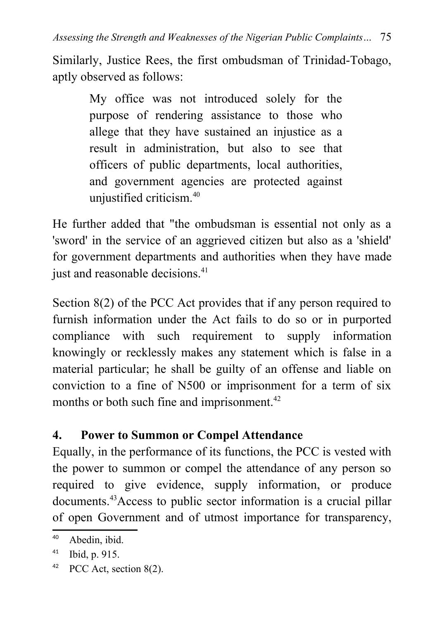Similarly, Justice Rees, the first ombudsman of Trinidad-Tobago, aptly observed as follows:

> My office was not introduced solely for the purpose of rendering assistance to those who allege that they have sustained an injustice as a result in administration, but also to see that officers of public departments, local authorities, and government agencies are protected against unjustified criticism.<sup>[40](#page-18-0)</sup>

He further added that "the ombudsman is essential not only as a 'sword' in the service of an aggrieved citizen but also as a 'shield' for government departments and authorities when they have made just and reasonable decisions.<sup>[41](#page-18-1)</sup>

Section 8(2) of the PCC Act provides that if any person required to furnish information under the Act fails to do so or in purported compliance with such requirement to supply information knowingly or recklessly makes any statement which is false in a material particular; he shall be guilty of an offense and liable on conviction to a fine of N500 or imprisonment for a term of six months or both such fine and imprisonment.<sup>[42](#page-18-2)</sup>

# **4. Power to Summon or Compel Attendance**

Equally, in the performance of its functions, the PCC is vested with the power to summon or compel the attendance of any person so required to give evidence, supply information, or produce documents.<sup>43</sup>Access to public sector information is a crucial pillar of open Government and of utmost importance for transparency,

<span id="page-18-0"></span><sup>40</sup> Abedin, ibid.

<span id="page-18-1"></span> $41$  Ibid, p. 915.

<span id="page-18-2"></span> $42$  PCC Act, section 8(2).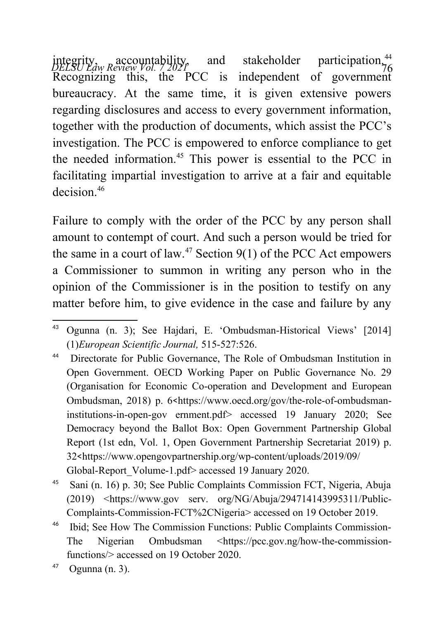integrity, accountability, and stakeholder participation.<sup>[44](#page-19-0)</sup><br>DELSU Law Review Vol. 72021 Recognizing this, the PCC is independent of government bureaucracy. At the same time, it is given extensive powers regarding disclosures and access to every government information, together with the production of documents, which assist the PCC's investigation. The PCC is empowered to enforce compliance to get the needed information.<sup>[45](#page-19-1)</sup> This power is essential to the PCC in facilitating impartial investigation to arrive at a fair and equitable decision<sup>[46](#page-19-2)</sup>

Failure to comply with the order of the PCC by any person shall amount to contempt of court. And such a person would be tried for the same in a court of law.<sup>[47](#page-19-3)</sup> Section  $9(1)$  of the PCC Act empowers a Commissioner to summon in writing any person who in the opinion of the Commissioner is in the position to testify on any matter before him, to give evidence in the case and failure by any

<sup>43</sup> Ogunna (n. 3); See Hajdari, E. 'Ombudsman-Historical Views' [2014] (1)*European Scientific Journal,* 515-527:526.

<span id="page-19-0"></span><sup>44</sup> Directorate for Public Governance, The Role of Ombudsman Institution in Open Government. OECD Working Paper on Public Governance No. 29 (Organisation for Economic Co-operation and Development and European Ombudsman, 2018) p. 6<[https://www.oecd.org/gov/the-role-of-ombudsman](https://www.oecd.org/gov/the-role-of-ombudsman-institutions-in-open-gov%20ernment.pdf)[institutions-in-open-gov ernment.pdf](https://www.oecd.org/gov/the-role-of-ombudsman-institutions-in-open-gov%20ernment.pdf)> accessed 19 January 2020; See Democracy beyond the Ballot Box: Open Government Partnership Global Report (1st edn, Vol. 1, Open Government Partnership Secretariat 2019) p. 32<https://www.opengovpartnership.org/wp-content/uploads/2019/09/ Global-Report\_Volume-1.pdf> accessed 19 January 2020.

<span id="page-19-1"></span><sup>45</sup> Sani (n. 16) p. 30; See Public Complaints Commission FCT, Nigeria, Abuja (2019) <https://www.gov serv. org/NG/Abuja/294714143995311/Public-Complaints-Commission-FCT%2CNigeria> accessed on 19 October 2019.

<span id="page-19-2"></span><sup>46</sup> Ibid; See How The Commission Functions: Public Complaints Commission-The Nigerian Ombudsman [<https://pcc.gov.ng/how-the-commission](https://pcc.gov.ng/how-the-commission-functions/)[functions/](https://pcc.gov.ng/how-the-commission-functions/)> accessed on 19 October 2020.

<span id="page-19-3"></span> $47$  Ogunna (n. 3).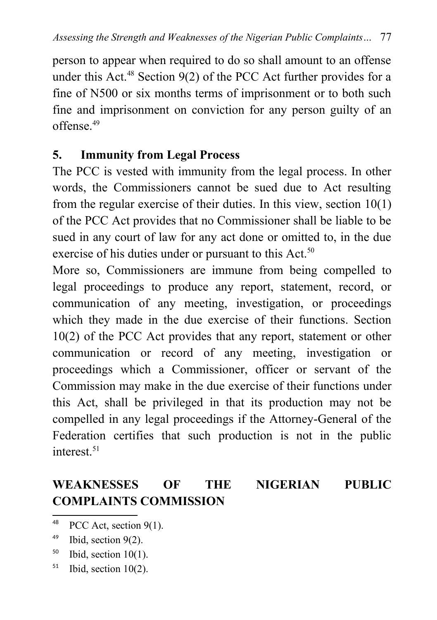person to appear when required to do so shall amount to an offense under this Act.<sup>[48](#page-20-0)</sup> Section  $9(2)$  of the PCC Act further provides for a fine of N500 or six months terms of imprisonment or to both such fine and imprisonment on conviction for any person guilty of an offense<sup>[49](#page-20-1)</sup>

#### **5. Immunity from Legal Process**

The PCC is vested with immunity from the legal process. In other words, the Commissioners cannot be sued due to Act resulting from the regular exercise of their duties. In this view, section 10(1) of the PCC Act provides that no Commissioner shall be liable to be sued in any court of law for any act done or omitted to, in the due exercise of his duties under or pursuant to this Act.<sup>[50](#page-20-2)</sup>

More so, Commissioners are immune from being compelled to legal proceedings to produce any report, statement, record, or communication of any meeting, investigation, or proceedings which they made in the due exercise of their functions. Section 10(2) of the PCC Act provides that any report, statement or other communication or record of any meeting, investigation or proceedings which a Commissioner, officer or servant of the Commission may make in the due exercise of their functions under this Act, shall be privileged in that its production may not be compelled in any legal proceedings if the Attorney-General of the Federation certifies that such production is not in the public interest.<sup>[51](#page-20-3)</sup>

# **WEAKNESSES OF THE NIGERIAN PUBLIC COMPLAINTS COMMISSION**

- <span id="page-20-2"></span> $50$  Ibid, section 10(1).
- <span id="page-20-3"></span> $51$  Ibid, section 10(2).

<span id="page-20-0"></span> $48$  PCC Act, section 9(1).

<span id="page-20-1"></span> $49$  Ibid, section 9(2).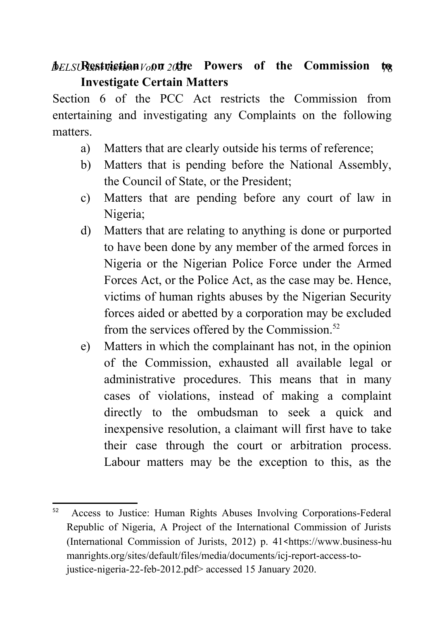# *<i>DELSI* Restriction *V*<sub>0</sub> *on 2 d*te Powers of the Commission to **Investigate Certain Matters**

Section 6 of the PCC Act restricts the Commission from entertaining and investigating any Complaints on the following matters.

- a) Matters that are clearly outside his terms of reference;
- b) Matters that is pending before the National Assembly, the Council of State, or the President;
- c) Matters that are pending before any court of law in Nigeria;
- d) Matters that are relating to anything is done or purported to have been done by any member of the armed forces in Nigeria or the Nigerian Police Force under the Armed Forces Act, or the Police Act, as the case may be. Hence, victims of human rights abuses by the Nigerian Security forces aided or abetted by a corporation may be excluded from the services offered by the Commission. $52$
- e) Matters in which the complainant has not, in the opinion of the Commission, exhausted all available legal or administrative procedures. This means that in many cases of violations, instead of making a complaint directly to the ombudsman to seek a quick and inexpensive resolution, a claimant will first have to take their case through the court or arbitration process. Labour matters may be the exception to this, as the

<span id="page-21-0"></span><sup>52</sup> Access to Justice: Human Rights Abuses Involving Corporations-Federal Republic of Nigeria, A Project of the International Commission of Jurists (International Commission of Jurists, 2012) p.  $41$ <https://www.business-hu manrights.org/sites/default/files/media/documents/icj-report-access-tojustice-nigeria-22-feb-2012.pdf> accessed 15 January 2020.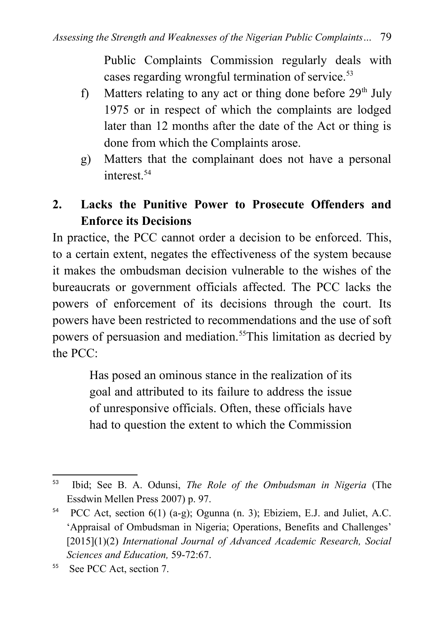Public Complaints Commission regularly deals with cases regarding wrongful termination of service.<sup>[53](#page-22-0)</sup>

- f) Matters relating to any act or thing done before  $29<sup>th</sup>$  July 1975 or in respect of which the complaints are lodged later than 12 months after the date of the Act or thing is done from which the Complaints arose.
- g) Matters that the complainant does not have a personal interest.<sup>[54](#page-22-1)</sup>

# **2. Lacks the Punitive Power to Prosecute Offenders and Enforce its Decisions**

In practice, the PCC cannot order a decision to be enforced. This, to a certain extent, negates the effectiveness of the system because it makes the ombudsman decision vulnerable to the wishes of the bureaucrats or government officials affected. The PCC lacks the powers of enforcement of its decisions through the court. Its powers have been restricted to recommendations and the use of soft powers of persuasion and mediation.[55](#page-22-2)This limitation as decried by the PCC:

> Has posed an ominous stance in the realization of its goal and attributed to its failure to address the issue of unresponsive officials. Often, these officials have had to question the extent to which the Commission

<span id="page-22-0"></span><sup>53</sup> Ibid; See B. A. Odunsi, *The Role of the Ombudsman in Nigeria* (The Essdwin Mellen Press 2007) p. 97.

<span id="page-22-1"></span><sup>54</sup> PCC Act, section 6(1) (a-g); Ogunna (n. 3); Ebiziem, E.J. and Juliet, A.C. 'Appraisal of Ombudsman in Nigeria; Operations, Benefits and Challenges' [2015](1)(2) *International Journal of Advanced Academic Research, Social Sciences and Education,* 59-72:67.

<span id="page-22-2"></span><sup>&</sup>lt;sup>55</sup> See PCC Act, section 7.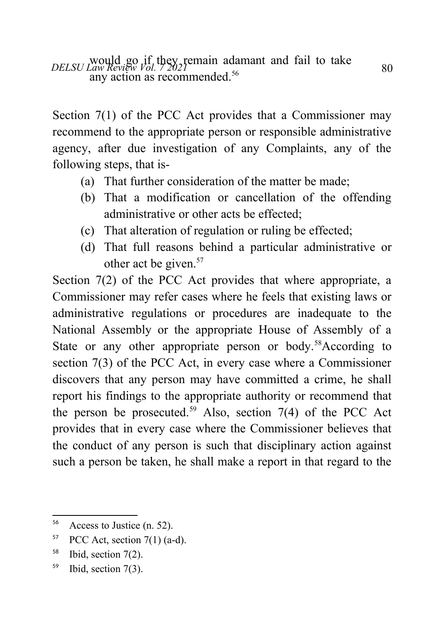*DELSU Law Review Vol. 7 2021* and adamant and fail to take a so 80 any action as recommended.<sup>[56](#page-23-0)</sup>

Section 7(1) of the PCC Act provides that a Commissioner may recommend to the appropriate person or responsible administrative agency, after due investigation of any Complaints, any of the following steps, that is-

- (a) That further consideration of the matter be made;
- (b) That a modification or cancellation of the offending administrative or other acts be effected.
- (c) That alteration of regulation or ruling be effected;
- (d) That full reasons behind a particular administrative or other act be given.<sup>[57](#page-23-1)</sup>

Section 7(2) of the PCC Act provides that where appropriate, a Commissioner may refer cases where he feels that existing laws or administrative regulations or procedures are inadequate to the National Assembly or the appropriate House of Assembly of a State or any other appropriate person or body.<sup>[58](#page-23-2)</sup>According to section 7(3) of the PCC Act, in every case where a Commissioner discovers that any person may have committed a crime, he shall report his findings to the appropriate authority or recommend that the person be prosecuted.<sup>[59](#page-23-3)</sup> Also, section 7(4) of the PCC Act provides that in every case where the Commissioner believes that the conduct of any person is such that disciplinary action against such a person be taken, he shall make a report in that regard to the

- <span id="page-23-2"></span><sup>58</sup> Ibid, section 7(2).
- <span id="page-23-3"></span>59 Ibid, section 7(3).

<span id="page-23-0"></span><sup>56</sup> Access to Justice (n. 52).

<span id="page-23-1"></span> $57$  PCC Act, section 7(1) (a-d).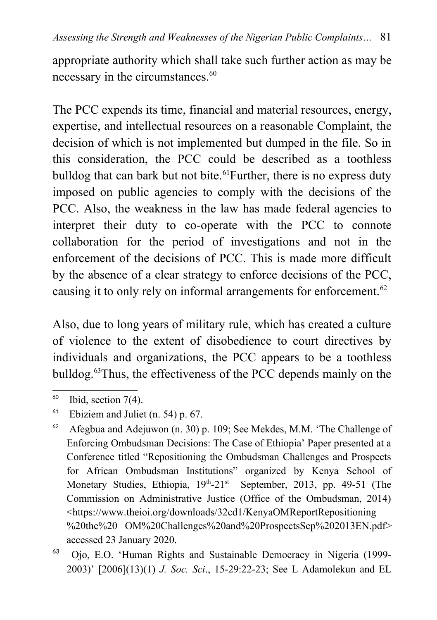appropriate authority which shall take such further action as may be necessary in the circumstances.<sup>[60](#page-24-0)</sup>

The PCC expends its time, financial and material resources, energy, expertise, and intellectual resources on a reasonable Complaint, the decision of which is not implemented but dumped in the file. So in this consideration, the PCC could be described as a toothless bulldog that can bark but not bite.<sup>[61](#page-24-1)</sup>Further, there is no express duty imposed on public agencies to comply with the decisions of the PCC. Also, the weakness in the law has made federal agencies to interpret their duty to co-operate with the PCC to connote collaboration for the period of investigations and not in the enforcement of the decisions of PCC. This is made more difficult by the absence of a clear strategy to enforce decisions of the PCC, causing it to only rely on informal arrangements for enforcement.<sup>[62](#page-24-2)</sup>

Also, due to long years of military rule, which has created a culture of violence to the extent of disobedience to court directives by individuals and organizations, the PCC appears to be a toothless bulldog.[63](#page-24-3)Thus, the effectiveness of the PCC depends mainly on the

<span id="page-24-0"></span> $60$  Ibid, section 7(4).

<span id="page-24-1"></span> $61$  Ebiziem and Juliet (n. 54) p. 67.

<span id="page-24-2"></span><sup>&</sup>lt;sup>62</sup> Afegbua and Adejuwon (n. 30) p. 109; See Mekdes, M.M. 'The Challenge of Enforcing Ombudsman Decisions: The Case of Ethiopia' Paper presented at a Conference titled "Repositioning the Ombudsman Challenges and Prospects for African Ombudsman Institutions" organized by Kenya School of Monetary Studies, Ethiopia,  $19<sup>th</sup> - 21<sup>st</sup>$  September, 2013, pp. 49-51 (The Commission on Administrative Justice (Office of the Ombudsman, 2014) <[https://www.theioi.org/downloads/32cd1/KenyaOMReportRepositioning](https://www.theioi.org/downloads/32cd1/KenyaOMReportRepositioning%20the%20%20OM%20Challenges%20and%20ProspectsSep%202013EN.pdf) [%20the%20 OM%20Challenges%20and%20ProspectsSep%202013EN.pdf>](https://www.theioi.org/downloads/32cd1/KenyaOMReportRepositioning%20the%20%20OM%20Challenges%20and%20ProspectsSep%202013EN.pdf) accessed 23 January 2020.

<span id="page-24-3"></span><sup>63</sup> Ojo, E.O. 'Human Rights and Sustainable Democracy in Nigeria (1999- 2003)' [2006](13)(1) *J. Soc. Sci*., 15-29:22-23; See L Adamolekun and EL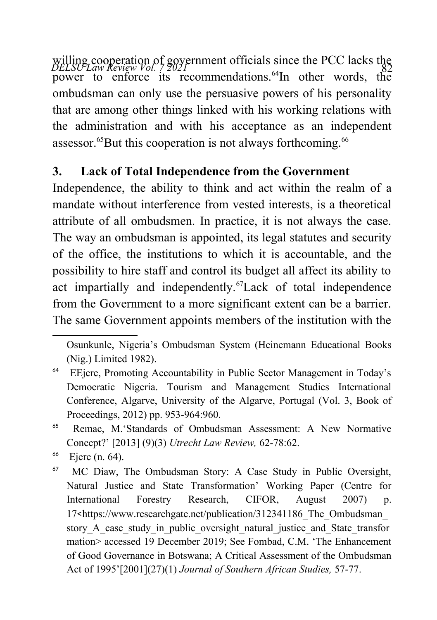willing cooperation of government officials since the PCC lacks the *DELSU Law Review Vol.* ? 2021 power to enforce its recommendations.<sup>[64](#page-25-0)</sup>In other words, the ombudsman can only use the persuasive powers of his personality that are among other things linked with his working relations with the administration and with his acceptance as an independent assessor.<sup>[65](#page-25-1)</sup>But this cooperation is not always forthcoming.<sup>[66](#page-25-2)</sup>

# **3. Lack of Total Independence from the Government**

Independence, the ability to think and act within the realm of a mandate without interference from vested interests, is a theoretical attribute of all ombudsmen. In practice, it is not always the case. The way an ombudsman is appointed, its legal statutes and security of the office, the institutions to which it is accountable, and the possibility to hire staff and control its budget all affect its ability to act impartially and independently.<sup>[67](#page-25-3)</sup>Lack of total independence from the Government to a more significant extent can be a barrier. The same Government appoints members of the institution with the

Osunkunle, Nigeria's Ombudsman System (Heinemann Educational Books (Nig.) Limited 1982).

<span id="page-25-0"></span><sup>&</sup>lt;sup>64</sup> EEiere, Promoting Accountability in Public Sector Management in Today's Democratic Nigeria. Tourism and Management Studies International Conference, Algarve, University of the Algarve, Portugal (Vol. 3, Book of Proceedings, 2012) pp. 953-964:960.

<span id="page-25-1"></span><sup>65</sup> Remac, M.'Standards of Ombudsman Assessment: A New Normative Concept?' [2013] (9)(3) *Utrecht Law Review,* 62-78:62.

<span id="page-25-2"></span> $66$  Ejere (n. 64).

<span id="page-25-3"></span><sup>&</sup>lt;sup>67</sup> MC Diaw, The Ombudsman Story: A Case Study in Public Oversight, Natural Justice and State Transformation' Working Paper (Centre for International Forestry Research, CIFOR, August 2007) p. 17<[https://www.researchgate.net/publication/312341186\\_The\\_Ombudsman\\_](https://www.researchgate.net/publication/312341186_The_Ombudsman_story_A_case_study_in_public_oversight_natural_justice_and_State_transformation) story A case study in public oversight natural justice and State transfor [mation>](https://www.researchgate.net/publication/312341186_The_Ombudsman_story_A_case_study_in_public_oversight_natural_justice_and_State_transformation) accessed 19 December 2019; See Fombad, C.M. 'The Enhancement of Good Governance in Botswana; A Critical Assessment of the Ombudsman Act of 1995'[2001](27)(1) *Journal of Southern African Studies,* 57-77.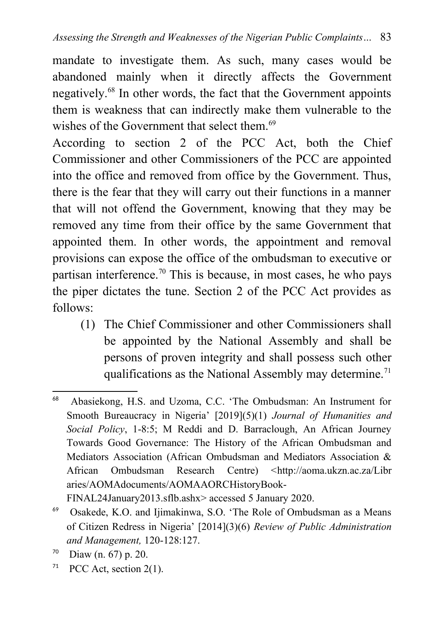mandate to investigate them. As such, many cases would be abandoned mainly when it directly affects the Government negatively.[68](#page-26-0) In other words, the fact that the Government appoints them is weakness that can indirectly make them vulnerable to the wishes of the Government that select them.<sup>[69](#page-26-1)</sup>

According to section 2 of the PCC Act, both the Chief Commissioner and other Commissioners of the PCC are appointed into the office and removed from office by the Government. Thus, there is the fear that they will carry out their functions in a manner that will not offend the Government, knowing that they may be removed any time from their office by the same Government that appointed them. In other words, the appointment and removal provisions can expose the office of the ombudsman to executive or partisan interference.<sup>[70](#page-26-2)</sup> This is because, in most cases, he who pays the piper dictates the tune. Section 2 of the PCC Act provides as follows:

(1) The Chief Commissioner and other Commissioners shall be appointed by the National Assembly and shall be persons of proven integrity and shall possess such other qualifications as the National Assembly may determine.<sup>[71](#page-26-3)</sup>

<span id="page-26-3"></span><sup>71</sup> PCC Act, section  $2(1)$ .

<span id="page-26-0"></span><sup>68</sup> Abasiekong, H.S. and Uzoma, C.C. 'The Ombudsman: An Instrument for Smooth Bureaucracy in Nigeria' [2019](5)(1) *Journal of Humanities and Social Policy*, 1-8:5; M Reddi and D. Barraclough, An African Journey Towards Good Governance: The History of the African Ombudsman and Mediators Association (African Ombudsman and Mediators Association & African Ombudsman Research Centre) <[http://aoma.ukzn.ac.za/Libr](http://aoma.ukzn.ac.za/Libr%20aries/AOMAdocuments/AOMAAORCHistoryBook-FINAL24January2013.sflb.ashx) [aries/AOMAdocuments/AOMAAORCHistoryBook-](http://aoma.ukzn.ac.za/Libr%20aries/AOMAdocuments/AOMAAORCHistoryBook-FINAL24January2013.sflb.ashx)[FINAL24January2013.sflb.ashx>](http://aoma.ukzn.ac.za/Libr%20aries/AOMAdocuments/AOMAAORCHistoryBook-FINAL24January2013.sflb.ashx) accessed 5 January 2020.

<span id="page-26-1"></span><sup>69</sup> Osakede, K.O. and Ijimakinwa, S.O. 'The Role of Ombudsman as a Means of Citizen Redress in Nigeria' [2014](3)(6) *Review of Public Administration and Management,* 120-128:127.

<span id="page-26-2"></span> $70$  Diaw (n. 67) p. 20.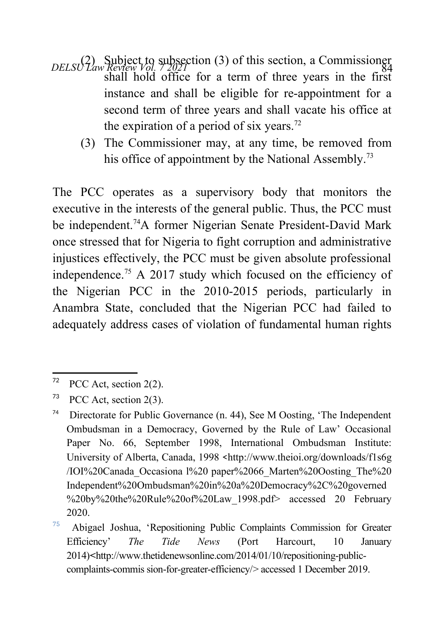- *DELSU* Law Review  $VQ_1$ ,  $72Q_2$  (3) of this section, a Commissioner shall hold office for a term of three years in the first instance and shall be eligible for re-appointment for a second term of three years and shall vacate his office at the expiration of a period of six years.<sup>[72](#page-27-0)</sup>
	- (3) The Commissioner may, at any time, be removed from his office of appointment by the National Assembly.<sup>[73](#page-27-1)</sup>

The PCC operates as a supervisory body that monitors the executive in the interests of the general public. Thus, the PCC must be independent.<sup>[74](#page-27-2)</sup>A former Nigerian Senate President-David Mark once stressed that for Nigeria to fight corruption and administrative injustices effectively, the PCC must be given absolute professional independence.<sup>[75](#page-27-3)</sup> A 2017 study which focused on the efficiency of the Nigerian PCC in the 2010-2015 periods, particularly in Anambra State, concluded that the Nigerian PCC had failed to adequately address cases of violation of fundamental human rights

<span id="page-27-0"></span> $72$  PCC Act, section 2(2).

<span id="page-27-1"></span><sup>&</sup>lt;sup>73</sup> PCC Act, section  $2(3)$ .

<span id="page-27-2"></span><sup>&</sup>lt;sup>74</sup> Directorate for Public Governance (n. 44), See M Oosting, 'The Independent Ombudsman in a Democracy, Governed by the Rule of Law' Occasional Paper No. 66, September 1998, International Ombudsman Institute: University of Alberta, Canada, 1998 <[http://www.theioi.org/downloads/f1s6g](http://www.theioi.org/downloads/f1s6g/IOI%20Canada_Occasiona%20l%20%20paper%2066_Marten%20Oosting_The%20Independent%20Ombudsman%20in%20a%20Democracy%2C%20governed%20by%20the%20Rule%20of%20Law_1998.pdf) [/IOI%20Canada\\_Occasiona l%20 paper%2066\\_Marten%20Oosting\\_The%20](http://www.theioi.org/downloads/f1s6g/IOI%20Canada_Occasiona%20l%20%20paper%2066_Marten%20Oosting_The%20Independent%20Ombudsman%20in%20a%20Democracy%2C%20governed%20by%20the%20Rule%20of%20Law_1998.pdf) Independent%20Ombudsman%20in%20a%20Democracy%2C%20governed [%20by%20the%20Rule%20of%20Law\\_1998.pdf>](http://www.theioi.org/downloads/f1s6g/IOI%20Canada_Occasiona%20l%20%20paper%2066_Marten%20Oosting_The%20Independent%20Ombudsman%20in%20a%20Democracy%2C%20governed%20by%20the%20Rule%20of%20Law_1998.pdf) accessed 20 February 2020.

<span id="page-27-3"></span><sup>75</sup> Abigael Joshua, 'Repositioning Public Complaints Commission for Greater Efficiency' *The Tide News* (Port Harcourt, 10 January 2014)**<**[http://www.thetidenewsonline.com/2014/01/10/repositioning-public](http://www.thetidenewsonline.com/2014/01/10/repositioning-public-complaints-commis%20sion-for-greater-efficiency/)[complaints-commis sion-for-greater-efficiency/](http://www.thetidenewsonline.com/2014/01/10/repositioning-public-complaints-commis%20sion-for-greater-efficiency/)> accessed 1 December 2019.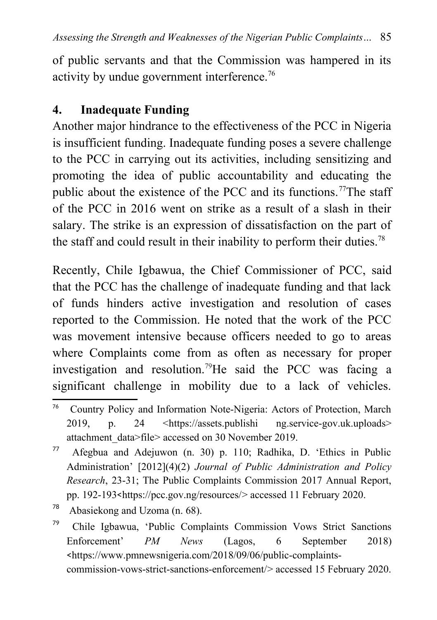of public servants and that the Commission was hampered in its activity by undue government interference.<sup>[76](#page-28-0)</sup>

### **4. Inadequate Funding**

Another major hindrance to the effectiveness of the PCC in Nigeria is insufficient funding. Inadequate funding poses a severe challenge to the PCC in carrying out its activities, including sensitizing and promoting the idea of public accountability and educating the public about the existence of the PCC and its functions.<sup>[77](#page-28-1)</sup>The staff of the PCC in 2016 went on strike as a result of a slash in their salary. The strike is an expression of dissatisfaction on the part of the staff and could result in their inability to perform their duties.<sup>[78](#page-28-2)</sup>

Recently, Chile Igbawua, the Chief Commissioner of PCC, said that the PCC has the challenge of inadequate funding and that lack of funds hinders active investigation and resolution of cases reported to the Commission. He noted that the work of the PCC was movement intensive because officers needed to go to areas where Complaints come from as often as necessary for proper investigation and resolution.[79](#page-28-3)He said the PCC was facing a significant challenge in mobility due to a lack of vehicles.

<span id="page-28-0"></span><sup>76</sup> Country Policy and Information Note-Nigeria: Actors of Protection, March 2019, p. 24 <https://assets.publishi ng.service-gov.uk.uploads> attachment\_data>file> accessed on 30 November 2019.

<span id="page-28-1"></span> $77$  Afegbua and Adejuwon (n. 30) p. 110; Radhika, D. 'Ethics in Public Administration' [2012](4)(2) *Journal of Public Administration and Policy Research*, 23-31; The Public Complaints Commission 2017 Annual Report, pp. 192-193<<https://pcc.gov.ng/resources/>> accessed 11 February 2020.

<span id="page-28-2"></span><sup>78</sup> Abasiekong and Uzoma (n. 68).

<span id="page-28-3"></span><sup>79</sup> Chile Igbawua, 'Public Complaints Commission Vows Strict Sanctions Enforcement' *PM News* (Lagos, 6 September 2018) <[https://www.pmnewsnigeria.com/2018/09/06/public-complaints](https://www.pmnewsnigeria.com/2018/09/06/public-complaints-commission-vows-strict-san%20ctions-enforcement/)[commission-vows-strict-sanctions-enforcement/>](https://www.pmnewsnigeria.com/2018/09/06/public-complaints-commission-vows-strict-san%20ctions-enforcement/) accessed 15 February 2020.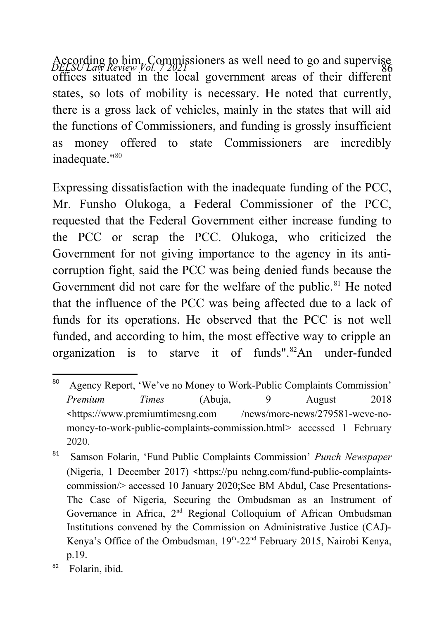According to him, Commissioners as well need to go and supervise<br>*DELSU Law Review Vol. 1* 2021 offices situated in the local government areas of their different states, so lots of mobility is necessary. He noted that currently, there is a gross lack of vehicles, mainly in the states that will aid the functions of Commissioners, and funding is grossly insufficient as money offered to state Commissioners are incredibly inadequate."<sup>[80](#page-29-0)</sup>

Expressing dissatisfaction with the inadequate funding of the PCC, Mr. Funsho Olukoga, a Federal Commissioner of the PCC, requested that the Federal Government either increase funding to the PCC or scrap the PCC. Olukoga, who criticized the Government for not giving importance to the agency in its anticorruption fight, said the PCC was being denied funds because the Government did not care for the welfare of the public.<sup>[81](#page-29-1)</sup> He noted that the influence of the PCC was being affected due to a lack of funds for its operations. He observed that the PCC is not well funded, and according to him, the most effective way to cripple an organization is to starve it of funds".[82](#page-29-2)An under-funded

<span id="page-29-0"></span><sup>80</sup> Agency Report, 'We've no Money to Work-Public Complaints Commission' *Premium Times* (Abuja, 9 August 2018 <https://www.premiumtimesng.com /news/more-news/279581-weve-nomoney-to-work-public-complaints-commission.html> accessed 1 February 2020.

<span id="page-29-1"></span><sup>81</sup> Samson Folarin, 'Fund Public Complaints Commission' *Punch Newspaper* (Nigeria, 1 December 2017) <https://pu nchng.com/fund-public-complaintscommission/> accessed 10 January 2020;See BM Abdul, Case Presentations-The Case of Nigeria, Securing the Ombudsman as an Instrument of Governance in Africa, 2nd Regional Colloquium of African Ombudsman Institutions convened by the Commission on Administrative Justice (CAJ)- Kenya's Office of the Ombudsman,  $19<sup>th</sup> - 22<sup>nd</sup>$  February 2015, Nairobi Kenya, p.19.

<span id="page-29-2"></span><sup>82</sup> Folarin, ibid.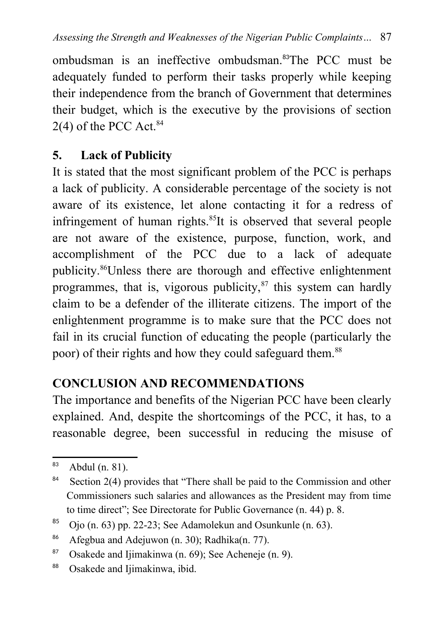ombudsman is an ineffective ombudsman.[83](#page-30-0)The PCC must be adequately funded to perform their tasks properly while keeping their independence from the branch of Government that determines their budget, which is the executive by the provisions of section  $2(4)$  of the PCC Act.<sup>[84](#page-30-1)</sup>

### **5. Lack of Publicity**

It is stated that the most significant problem of the PCC is perhaps a lack of publicity. A considerable percentage of the society is not aware of its existence, let alone contacting it for a redress of infringement of human rights.<sup>[85](#page-30-2)</sup>It is observed that several people are not aware of the existence, purpose, function, work, and accomplishment of the PCC due to a lack of adequate publicity.[86](#page-30-3)Unless there are thorough and effective enlightenment programmes, that is, vigorous publicity, $^{87}$  $^{87}$  $^{87}$  this system can hardly claim to be a defender of the illiterate citizens. The import of the enlightenment programme is to make sure that the PCC does not fail in its crucial function of educating the people (particularly the poor) of their rights and how they could safeguard them.<sup>[88](#page-30-5)</sup>

### **CONCLUSION AND RECOMMENDATIONS**

The importance and benefits of the Nigerian PCC have been clearly explained. And, despite the shortcomings of the PCC, it has, to a reasonable degree, been successful in reducing the misuse of

<span id="page-30-0"></span><sup>83</sup> Abdul (n. 81).

<span id="page-30-1"></span> $84$  Section 2(4) provides that "There shall be paid to the Commission and other Commissioners such salaries and allowances as the President may from time to time direct"; See Directorate for Public Governance (n. 44) p. 8.

<span id="page-30-2"></span><sup>&</sup>lt;sup>85</sup> Ojo (n. 63) pp. 22-23; See Adamolekun and Osunkunle (n. 63).

<span id="page-30-3"></span><sup>86</sup> Afegbua and Adejuwon (n. 30); Radhika(n. 77).

<span id="page-30-4"></span><sup>&</sup>lt;sup>87</sup> Osakede and Iijmakinwa (n. 69): See Acheneje (n. 9).

<span id="page-30-5"></span><sup>88</sup> Osakede and Ijimakinwa, ibid.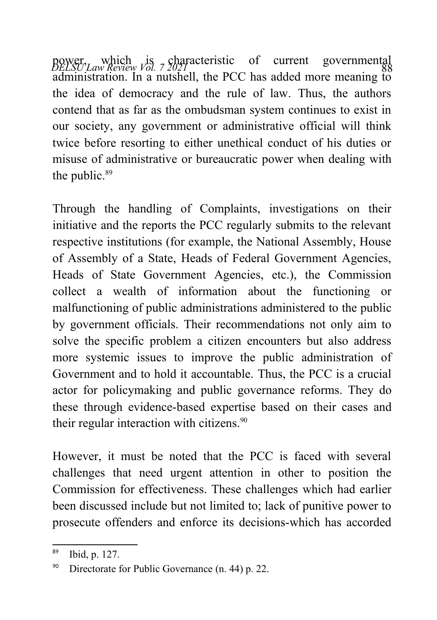power, which is characteristic of current governmental<br>*DELSU Law Review Vol.* 7.2021 **11 d** DCC 1 11 d administration. In a nutshell, the PCC has added more meaning to the idea of democracy and the rule of law. Thus, the authors contend that as far as the ombudsman system continues to exist in our society, any government or administrative official will think twice before resorting to either unethical conduct of his duties or misuse of administrative or bureaucratic power when dealing with the public.<sup>[89](#page-31-0)</sup>

Through the handling of Complaints, investigations on their initiative and the reports the PCC regularly submits to the relevant respective institutions (for example, the National Assembly, House of Assembly of a State, Heads of Federal Government Agencies, Heads of State Government Agencies, etc.), the Commission collect a wealth of information about the functioning or malfunctioning of public administrations administered to the public by government officials. Their recommendations not only aim to solve the specific problem a citizen encounters but also address more systemic issues to improve the public administration of Government and to hold it accountable. Thus, the PCC is a crucial actor for policymaking and public governance reforms. They do these through evidence-based expertise based on their cases and their regular interaction with citizens.<sup>[90](#page-31-1)</sup>

However, it must be noted that the PCC is faced with several challenges that need urgent attention in other to position the Commission for effectiveness. These challenges which had earlier been discussed include but not limited to; lack of punitive power to prosecute offenders and enforce its decisions-which has accorded

<span id="page-31-0"></span><sup>89</sup> Ibid, p. 127.

<span id="page-31-1"></span><sup>&</sup>lt;sup>90</sup> Directorate for Public Governance  $(n, 44)$  p. 22.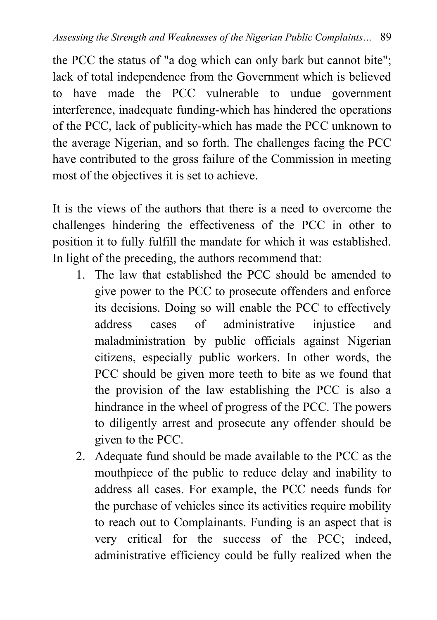the PCC the status of "a dog which can only bark but cannot bite"; lack of total independence from the Government which is believed to have made the PCC vulnerable to undue government interference, inadequate funding-which has hindered the operations of the PCC, lack of publicity-which has made the PCC unknown to the average Nigerian, and so forth. The challenges facing the PCC have contributed to the gross failure of the Commission in meeting most of the objectives it is set to achieve.

It is the views of the authors that there is a need to overcome the challenges hindering the effectiveness of the PCC in other to position it to fully fulfill the mandate for which it was established. In light of the preceding, the authors recommend that:

- 1. The law that established the PCC should be amended to give power to the PCC to prosecute offenders and enforce its decisions. Doing so will enable the PCC to effectively address cases of administrative injustice and maladministration by public officials against Nigerian citizens, especially public workers. In other words, the PCC should be given more teeth to bite as we found that the provision of the law establishing the PCC is also a hindrance in the wheel of progress of the PCC. The powers to diligently arrest and prosecute any offender should be given to the PCC.
- 2. Adequate fund should be made available to the PCC as the mouthpiece of the public to reduce delay and inability to address all cases. For example, the PCC needs funds for the purchase of vehicles since its activities require mobility to reach out to Complainants. Funding is an aspect that is very critical for the success of the PCC; indeed, administrative efficiency could be fully realized when the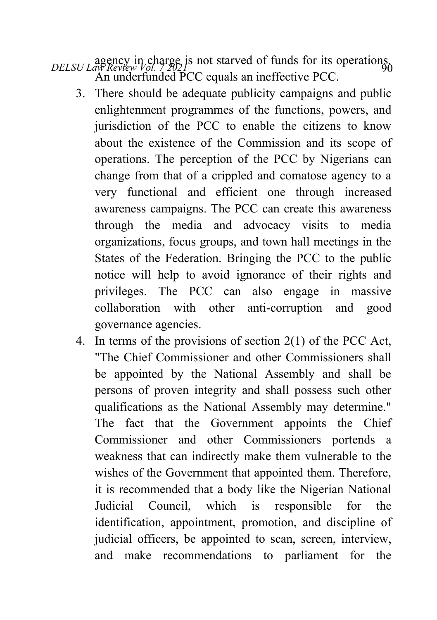- *DELSU Law Review Vol. 7 2021*<br>*DELSU Law Review Vol. 7 2021* An underfunded PCC equals an ineffective PCC.
	- 3. There should be adequate publicity campaigns and public enlightenment programmes of the functions, powers, and jurisdiction of the PCC to enable the citizens to know about the existence of the Commission and its scope of operations. The perception of the PCC by Nigerians can change from that of a crippled and comatose agency to a very functional and efficient one through increased awareness campaigns. The PCC can create this awareness through the media and advocacy visits to media organizations, focus groups, and town hall meetings in the States of the Federation. Bringing the PCC to the public notice will help to avoid ignorance of their rights and privileges. The PCC can also engage in massive collaboration with other anti-corruption and good governance agencies.
	- 4. In terms of the provisions of section 2(1) of the PCC Act, "The Chief Commissioner and other Commissioners shall be appointed by the National Assembly and shall be persons of proven integrity and shall possess such other qualifications as the National Assembly may determine." The fact that the Government appoints the Chief Commissioner and other Commissioners portends a weakness that can indirectly make them vulnerable to the wishes of the Government that appointed them. Therefore, it is recommended that a body like the Nigerian National Judicial Council, which is responsible for the identification, appointment, promotion, and discipline of judicial officers, be appointed to scan, screen, interview, and make recommendations to parliament for the